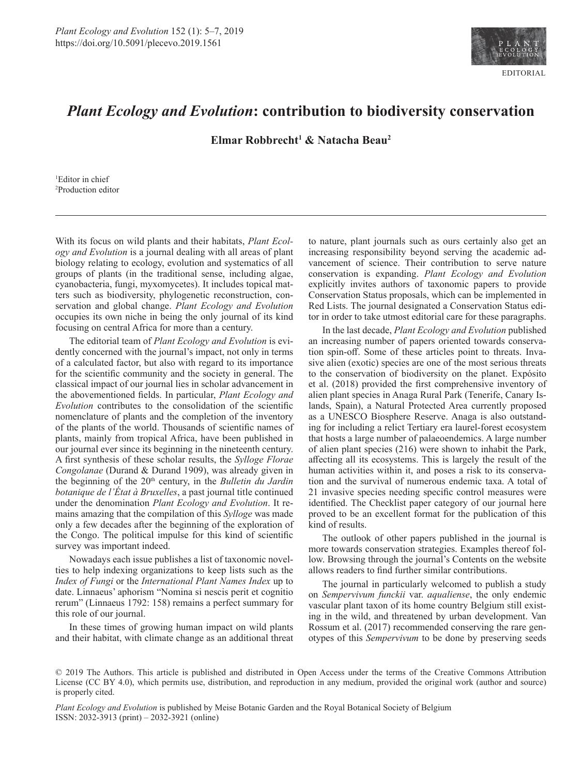

## *Plant Ecology and Evolution***: contribution to biodiversity conservation**

**Elmar Robbrecht1 & Natacha Beau2**

1 Editor in chief 2 Production editor

With its focus on wild plants and their habitats, *Plant Ecology and Evolution* is a journal dealing with all areas of plant biology relating to ecology, evolution and systematics of all groups of plants (in the traditional sense, including algae, cyanobacteria, fungi, myxomycetes). It includes topical matters such as biodiversity, phylogenetic reconstruction, conservation and global change. *Plant Ecology and Evolution* occupies its own niche in being the only journal of its kind focusing on central Africa for more than a century.

The editorial team of *Plant Ecology and Evolution* is evidently concerned with the journal's impact, not only in terms of a calculated factor, but also with regard to its importance for the scientific community and the society in general. The classical impact of our journal lies in scholar advancement in the abovementioned fields. In particular, *Plant Ecology and Evolution* contributes to the consolidation of the scientific nomenclature of plants and the completion of the inventory of the plants of the world. Thousands of scientific names of plants, mainly from tropical Africa, have been published in our journal ever since its beginning in the nineteenth century. A first synthesis of these scholar results, the *Sylloge Florae Congolanae* (Durand & Durand 1909), was already given in the beginning of the 20th century, in the *Bulletin du Jardin botanique de l'État à Bruxelles*, a past journal title continued under the denomination *Plant Ecology and Evolution*. It remains amazing that the compilation of this *Sylloge* was made only a few decades after the beginning of the exploration of the Congo. The political impulse for this kind of scientific survey was important indeed.

Nowadays each issue publishes a list of taxonomic novelties to help indexing organizations to keep lists such as the *Index of Fungi* or the *International Plant Names Index* up to date. Linnaeus' aphorism "Nomina si nescis perit et cognitio rerum" (Linnaeus 1792: 158) remains a perfect summary for this role of our journal.

In these times of growing human impact on wild plants and their habitat, with climate change as an additional threat to nature, plant journals such as ours certainly also get an increasing responsibility beyond serving the academic advancement of science. Their contribution to serve nature conservation is expanding. *Plant Ecology and Evolution* explicitly invites authors of taxonomic papers to provide Conservation Status proposals, which can be implemented in Red Lists. The journal designated a Conservation Status editor in order to take utmost editorial care for these paragraphs.

In the last decade, *Plant Ecology and Evolution* published an increasing number of papers oriented towards conservation spin-off. Some of these articles point to threats. Invasive alien (exotic) species are one of the most serious threats to the conservation of biodiversity on the planet. Expósito et al. (2018) provided the first comprehensive inventory of alien plant species in Anaga Rural Park (Tenerife, Canary Islands, Spain), a Natural Protected Area currently proposed as a UNESCO Biosphere Reserve. Anaga is also outstanding for including a relict Tertiary era laurel-forest ecosystem that hosts a large number of palaeoendemics. A large number of alien plant species (216) were shown to inhabit the Park, affecting all its ecosystems. This is largely the result of the human activities within it, and poses a risk to its conservation and the survival of numerous endemic taxa. A total of 21 invasive species needing specific control measures were identified. The Checklist paper category of our journal here proved to be an excellent format for the publication of this kind of results.

The outlook of other papers published in the journal is more towards conservation strategies. Examples thereof follow. Browsing through the journal's Contents on the website allows readers to find further similar contributions.

The journal in particularly welcomed to publish a study on *Sempervivum funckii* var. *aqualiense*, the only endemic vascular plant taxon of its home country Belgium still existing in the wild, and threatened by urban development. Van Rossum et al. (2017) recommended conserving the rare genotypes of this *Sempervivum* to be done by preserving seeds

*Plant Ecology and Evolution* is published by Meise Botanic Garden and the Royal Botanical Society of Belgium ISSN: 2032-3913 (print) – 2032-3921 (online)

<sup>© 2019</sup> The Authors. This article is published and distributed in Open Access under the terms of the [Creative Commons Attribution](https://creativecommons.org/licenses/by/4.0/) [License](https://creativecommons.org/licenses/by/4.0/) (CC BY 4.0), which permits use, distribution, and reproduction in any medium, provided the original work (author and source) is properly cited.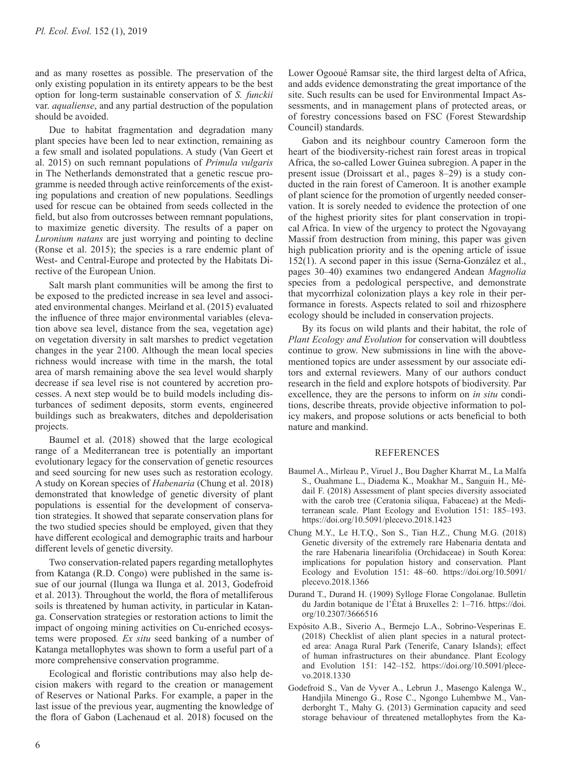and as many rosettes as possible. The preservation of the only existing population in its entirety appears to be the best option for long-term sustainable conservation of *S. funckii* var. *aqualiense*, and any partial destruction of the population should be avoided.

Due to habitat fragmentation and degradation many plant species have been led to near extinction, remaining as a few small and isolated populations. A study (Van Geert et al. 2015) on such remnant populations of *Primula vulgaris* in The Netherlands demonstrated that a genetic rescue programme is needed through active reinforcements of the existing populations and creation of new populations. Seedlings used for rescue can be obtained from seeds collected in the field, but also from outcrosses between remnant populations, to maximize genetic diversity. The results of a paper on *Luronium natans* are just worrying and pointing to decline (Ronse et al. 2015); the species is a rare endemic plant of West- and Central-Europe and protected by the Habitats Directive of the European Union.

Salt marsh plant communities will be among the first to be exposed to the predicted increase in sea level and associated environmental changes. Meirland et al. (2015) evaluated the influence of three major environmental variables (elevation above sea level, distance from the sea, vegetation age) on vegetation diversity in salt marshes to predict vegetation changes in the year 2100. Although the mean local species richness would increase with time in the marsh, the total area of marsh remaining above the sea level would sharply decrease if sea level rise is not countered by accretion processes. A next step would be to build models including disturbances of sediment deposits, storm events, engineered buildings such as breakwaters, ditches and depolderisation projects.

Baumel et al. (2018) showed that the large ecological range of a Mediterranean tree is potentially an important evolutionary legacy for the conservation of genetic resources and seed sourcing for new uses such as restoration ecology. A study on Korean species of *Habenaria* (Chung et al. 2018) demonstrated that knowledge of genetic diversity of plant populations is essential for the development of conservation strategies. It showed that separate conservation plans for the two studied species should be employed, given that they have different ecological and demographic traits and harbour different levels of genetic diversity.

Two conservation-related papers regarding metallophytes from Katanga (R.D. Congo) were published in the same issue of our journal (Ilunga wa Ilunga et al. 2013, Godefroid et al. 2013). Throughout the world, the flora of metalliferous soils is threatened by human activity, in particular in Katanga. Conservation strategies or restoration actions to limit the impact of ongoing mining activities on Cu-enriched ecosystems were proposed*. Ex situ* seed banking of a number of Katanga metallophytes was shown to form a useful part of a more comprehensive conservation programme.

Ecological and floristic contributions may also help decision makers with regard to the creation or management of Reserves or National Parks. For example, a paper in the last issue of the previous year, augmenting the knowledge of the flora of Gabon (Lachenaud et al. 2018) focused on the

Lower Ogooué Ramsar site, the third largest delta of Africa, and adds evidence demonstrating the great importance of the site. Such results can be used for Environmental Impact Assessments, and in management plans of protected areas, or of forestry concessions based on FSC (Forest Stewardship Council) standards.

Gabon and its neighbour country Cameroon form the heart of the biodiversity-richest rain forest areas in tropical Africa, the so-called Lower Guinea subregion. A paper in the present issue (Droissart et al., pages 8–29) is a study conducted in the rain forest of Cameroon. It is another example of plant science for the promotion of urgently needed conservation. It is sorely needed to evidence the protection of one of the highest priority sites for plant conservation in tropical Africa. In view of the urgency to protect the Ngovayang Massif from destruction from mining, this paper was given high publication priority and is the opening article of issue 152(1). A second paper in this issue (Serna-González et al., pages 30–40) examines two endangered Andean *Magnolia* species from a pedological perspective, and demonstrate that mycorrhizal colonization plays a key role in their performance in forests. Aspects related to soil and rhizosphere ecology should be included in conservation projects.

By its focus on wild plants and their habitat, the role of *Plant Ecology and Evolution* for conservation will doubtless continue to grow. New submissions in line with the abovementioned topics are under assessment by our associate editors and external reviewers. Many of our authors conduct research in the field and explore hotspots of biodiversity. Par excellence, they are the persons to inform on *in situ* conditions, describe threats, provide objective information to policy makers, and propose solutions or acts beneficial to both nature and mankind.

## REFERENCES

- Baumel A., Mirleau P., Viruel J., Bou Dagher Kharrat M., La Malfa S., Ouahmane L., Diadema K., Moakhar M., Sanguin H., Médail F. (2018) Assessment of plant species diversity associated with the carob tree (Ceratonia siliqua, Fabaceae) at the Mediterranean scale. Plant Ecology and Evolution 151: 185–193. <https://doi.org/10.5091/plecevo.2018.1423>
- Chung M.Y., Le H.T.Q., Son S., Tian H.Z., Chung M.G. (2018) Genetic diversity of the extremely rare Habenaria dentata and the rare Habenaria linearifolia (Orchidaceae) in South Korea: implications for population history and conservation. Plant Ecology and Evolution 151: 48–60. [https://doi.org/10.5091/](https://doi.org/10.5091/plecevo.2018.1366) [plecevo.2018.1366](https://doi.org/10.5091/plecevo.2018.1366)
- Durand T., Durand H. (1909) Sylloge Florae Congolanae. Bulletin du Jardin botanique de l'État à Bruxelles 2: 1–716. [https://doi.](https://doi.org/10.2307/3666516) [org/10.2307/3666516](https://doi.org/10.2307/3666516)
- Expósito A.B., Siverio A., Bermejo L.A., Sobrino-Vesperinas E. (2018) Checklist of alien plant species in a natural protected area: Anaga Rural Park (Tenerife, Canary Islands); effect of human infrastructures on their abundance. Plant Ecology and Evolution 151: 142–152. [https://doi.org/10.5091/plece](https://doi.org/10.5091/plecevo.2018.1330)[vo.2018.1330](https://doi.org/10.5091/plecevo.2018.1330)
- Godefroid S., Van de Vyver A., Lebrun J., Masengo Kalenga W., Handjila Minengo G., Rose C., Ngongo Luhembwe M., Vanderborght T., Mahy G. (2013) Germination capacity and seed storage behaviour of threatened metallophytes from the Ka-